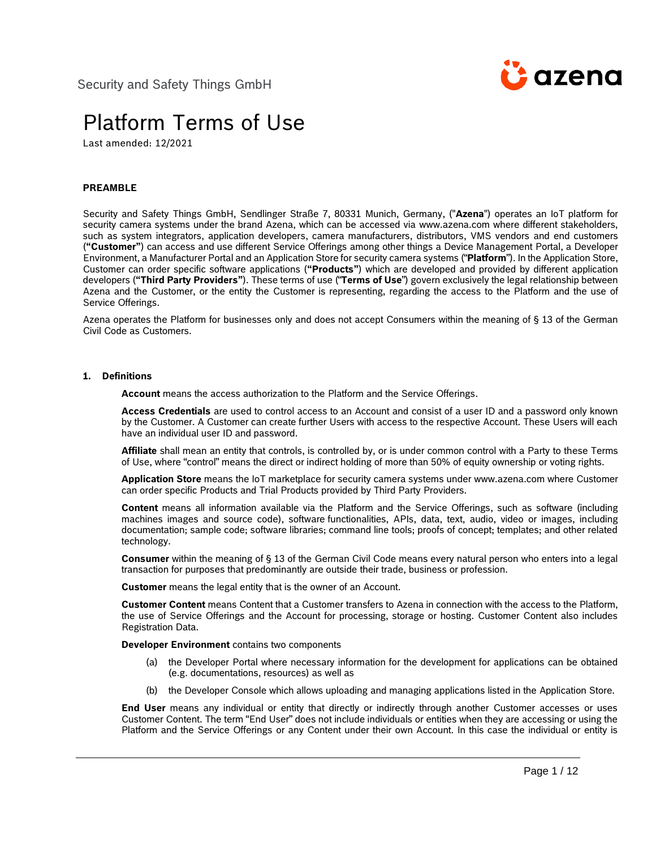

# Platform Terms of Use

Last amended: 12/2021

# **PREAMBLE**

Security and Safety Things GmbH, Sendlinger Straße 7, 80331 Munich, Germany, ("**Azena**") operates an IoT platform for security camera systems under the brand Azena, which can be accessed via www.azena.com where different stakeholders, such as system integrators, application developers, camera manufacturers, distributors, VMS vendors and end customers (**"Customer"**) can access and use different Service Offerings among other things a Device Management Portal, a Developer Environment, a Manufacturer Portal and an Application Store for security camera systems ("**Platform**"). In the Application Store, Customer can order specific software applications (**"Products"**) which are developed and provided by different application developers (**"Third Party Providers"**). These terms of use ("**Terms of Use**") govern exclusively the legal relationship between Azena and the Customer, or the entity the Customer is representing, regarding the access to the Platform and the use of Service Offerings.

Azena operates the Platform for businesses only and does not accept Consumers within the meaning of § 13 of the German Civil Code as Customers.

#### **1. Definitions**

**Account** means the access authorization to the Platform and the Service Offerings.

**Access Credentials** are used to control access to an Account and consist of a user ID and a password only known by the Customer. A Customer can create further Users with access to the respective Account. These Users will each have an individual user ID and password.

**Affiliate** shall mean an entity that controls, is controlled by, or is under common control with a Party to these Terms of Use, where "control" means the direct or indirect holding of more than 50% of equity ownership or voting rights.

**Application Store** means the IoT marketplace for security camera systems under www.azena.com where Customer can order specific Products and Trial Products provided by Third Party Providers.

**Content** means all information available via the Platform and the Service Offerings, such as software (including machines images and source code), software functionalities, APIs, data, text, audio, video or images, including documentation; sample code; software libraries; command line tools; proofs of concept; templates; and other related technology.

**Consumer** within the meaning of § 13 of the German Civil Code means every natural person who enters into a legal transaction for purposes that predominantly are outside their trade, business or profession.

**Customer** means the legal entity that is the owner of an Account.

**Customer Content** means Content that a Customer transfers to Azena in connection with the access to the Platform, the use of Service Offerings and the Account for processing, storage or hosting. Customer Content also includes Registration Data.

**Developer Environment** contains two components

- (a) the Developer Portal where necessary information for the development for applications can be obtained (e.g. documentations, resources) as well as
- (b) the Developer Console which allows uploading and managing applications listed in the Application Store.

**End User** means any individual or entity that directly or indirectly through another Customer accesses or uses Customer Content. The term "End User" does not include individuals or entities when they are accessing or using the Platform and the Service Offerings or any Content under their own Account. In this case the individual or entity is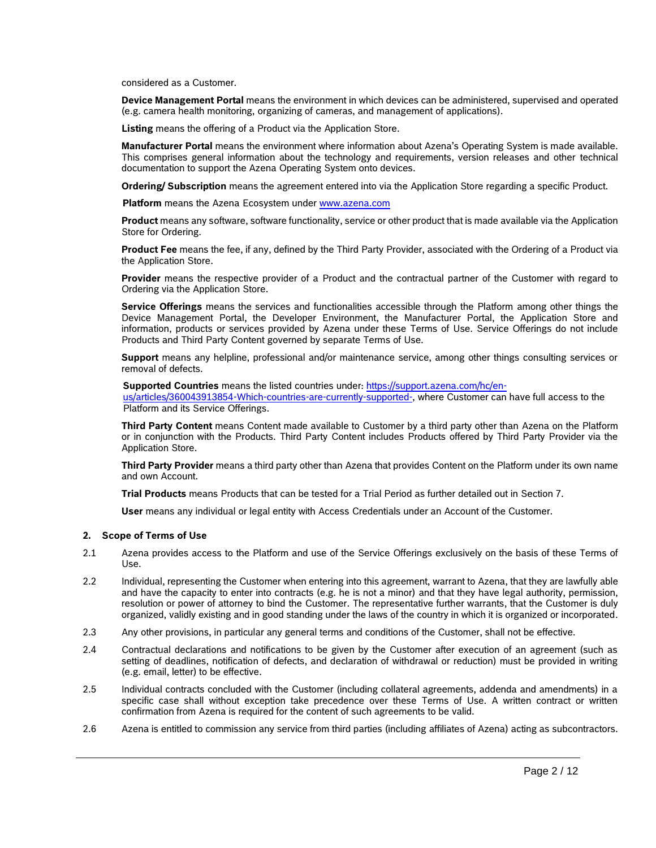considered as a Customer.

**Device Management Portal** means the environment in which devices can be administered, supervised and operated (e.g. camera health monitoring, organizing of cameras, and management of applications).

**Listing** means the offering of a Product via the Application Store.

**Manufacturer Portal** means the environment where information about Azena's Operating System is made available. This comprises general information about the technology and requirements, version releases and other technical documentation to support the Azena Operating System onto devices.

**Ordering/ Subscription** means the agreement entered into via the Application Store regarding a specific Product.

**Platform** means the Azena Ecosystem under [www.azena.com](file://///grb1fs01/commcls$/Bayer/SAST/App%20Store/Nutzungsbedingungen/Revision%20November%202021/www.azena.com)

**Product** means any software, software functionality, service or other product that is made available via the Application Store for Ordering.

**Product Fee** means the fee, if any, defined by the Third Party Provider, associated with the Ordering of a Product via the Application Store.

**Provider** means the respective provider of a Product and the contractual partner of the Customer with regard to Ordering via the Application Store.

**Service Offerings** means the services and functionalities accessible through the Platform among other things the Device Management Portal, the Developer Environment, the Manufacturer Portal, the Application Store and information, products or services provided by Azena under these Terms of Use. Service Offerings do not include Products and Third Party Content governed by separate Terms of Use.

**Support** means any helpline, professional and/or maintenance service, among other things consulting services or removal of defects.

**Supported Countries** means the listed countries under: [https://support.azena.com/hc/en-](https://support.azena.com/hc/en-us/articles/360043913854-Which-countries-are-currently-supported-)

[us/articles/360043913854-Which-countries-are-currently-supported-,](https://support.azena.com/hc/en-us/articles/360043913854-Which-countries-are-currently-supported-) where Customer can have full access to the Platform and its Service Offerings.

**Third Party Content** means Content made available to Customer by a third party other than Azena on the Platform or in conjunction with the Products. Third Party Content includes Products offered by Third Party Provider via the Application Store.

**Third Party Provider** means a third party other than Azena that provides Content on the Platform under its own name and own Account.

**Trial Products** means Products that can be tested for a Trial Period as further detailed out in Section 7.

**User** means any individual or legal entity with Access Credentials under an Account of the Customer.

# **2. Scope of Terms of Use**

- 2.1 Azena provides access to the Platform and use of the Service Offerings exclusively on the basis of these Terms of Use.
- 2.2 Individual, representing the Customer when entering into this agreement, warrant to Azena, that they are lawfully able and have the capacity to enter into contracts (e.g. he is not a minor) and that they have legal authority, permission, resolution or power of attorney to bind the Customer. The representative further warrants, that the Customer is duly organized, validly existing and in good standing under the laws of the country in which it is organized or incorporated.
- 2.3 Any other provisions, in particular any general terms and conditions of the Customer, shall not be effective.
- 2.4 Contractual declarations and notifications to be given by the Customer after execution of an agreement (such as setting of deadlines, notification of defects, and declaration of withdrawal or reduction) must be provided in writing (e.g. email, letter) to be effective.
- 2.5 Individual contracts concluded with the Customer (including collateral agreements, addenda and amendments) in a specific case shall without exception take precedence over these Terms of Use. A written contract or written confirmation from Azena is required for the content of such agreements to be valid.
- 2.6 Azena is entitled to commission any service from third parties (including affiliates of Azena) acting as subcontractors.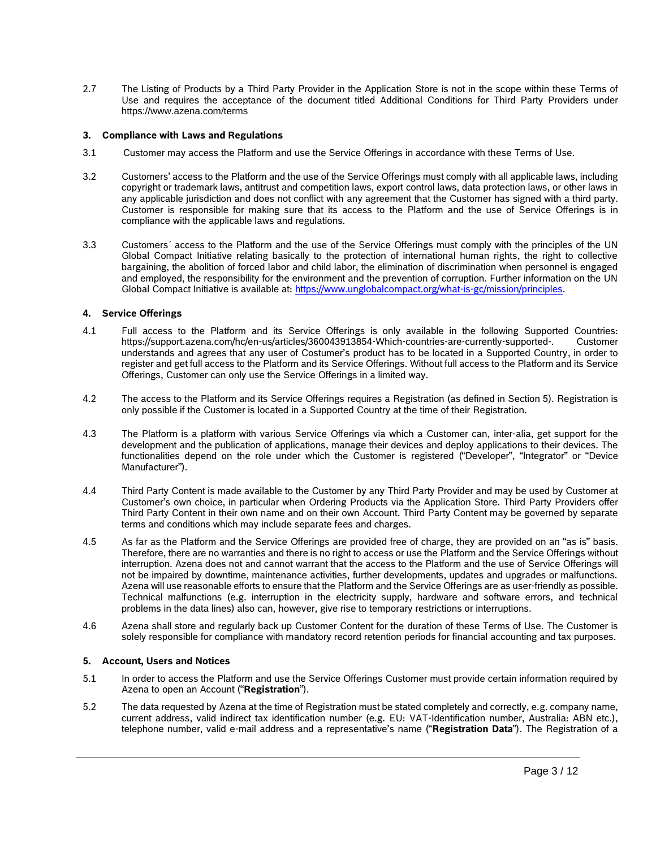2.7 The Listing of Products by a Third Party Provider in the Application Store is not in the scope within these Terms of Use and requires the acceptance of the document titled Additional Conditions for Third Party Providers under https://www.azena.com/terms

# **3. Compliance with Laws and Regulations**

- 3.1 Customer may access the Platform and use the Service Offerings in accordance with these Terms of Use.
- 3.2 Customers' access to the Platform and the use of the Service Offerings must comply with all applicable laws, including copyright or trademark laws, antitrust and competition laws, export control laws, data protection laws, or other laws in any applicable jurisdiction and does not conflict with any agreement that the Customer has signed with a third party. Customer is responsible for making sure that its access to the Platform and the use of Service Offerings is in compliance with the applicable laws and regulations.
- 3.3 Customers´ access to the Platform and the use of the Service Offerings must comply with the principles of the UN Global Compact Initiative relating basically to the protection of international human rights, the right to collective bargaining, the abolition of forced labor and child labor, the elimination of discrimination when personnel is engaged and employed, the responsibility for the environment and the prevention of corruption. Further information on the UN Global Compact Initiative is available at: [https://www.unglobalcompact.org/what-is-gc/mission/principles.](https://www.unglobalcompact.org/what-is-gc/mission/principles)

# **4. Service Offerings**

- 4.1 Full access to the Platform and its Service Offerings is only available in the following Supported Countries: https://support.azena.com/hc/en-us/articles/360043913854-Which-countries-are-currently-supported-. Customer understands and agrees that any user of Costumer's product has to be located in a Supported Country, in order to register and get full access to the Platform and its Service Offerings. Without full access to the Platform and its Service Offerings, Customer can only use the Service Offerings in a limited way.
- 4.2 The access to the Platform and its Service Offerings requires a Registration (as defined in Section 5). Registration is only possible if the Customer is located in a Supported Country at the time of their Registration.
- 4.3 The Platform is a platform with various Service Offerings via which a Customer can, inter-alia, get support for the development and the publication of applications, manage their devices and deploy applications to their devices. The functionalities depend on the role under which the Customer is registered ("Developer", "Integrator" or "Device Manufacturer").
- 4.4 Third Party Content is made available to the Customer by any Third Party Provider and may be used by Customer at Customer's own choice, in particular when Ordering Products via the Application Store. Third Party Providers offer Third Party Content in their own name and on their own Account. Third Party Content may be governed by separate terms and conditions which may include separate fees and charges.
- 4.5 As far as the Platform and the Service Offerings are provided free of charge, they are provided on an "as is" basis. Therefore, there are no warranties and there is no right to access or use the Platform and the Service Offerings without interruption. Azena does not and cannot warrant that the access to the Platform and the use of Service Offerings will not be impaired by downtime, maintenance activities, further developments, updates and upgrades or malfunctions. Azena will use reasonable efforts to ensure that the Platform and the Service Offerings are as user-friendly as possible. Technical malfunctions (e.g. interruption in the electricity supply, hardware and software errors, and technical problems in the data lines) also can, however, give rise to temporary restrictions or interruptions.
- <span id="page-2-0"></span>4.6 Azena shall store and regularly back up Customer Content for the duration of these Terms of Use. The Customer is solely responsible for compliance with mandatory record retention periods for financial accounting and tax purposes.

# **5. Account, Users and Notices**

- 5.1 In order to access the Platform and use the Service Offerings Customer must provide certain information required by Azena to open an Account ("**Registration**").
- 5.2 The data requested by Azena at the time of Registration must be stated completely and correctly, e.g. company name, current address, valid indirect tax identification number (e.g. EU: VAT-Identification number, Australia: ABN etc.), telephone number, valid e-mail address and a representative's name ("**Registration Data**"). The Registration of a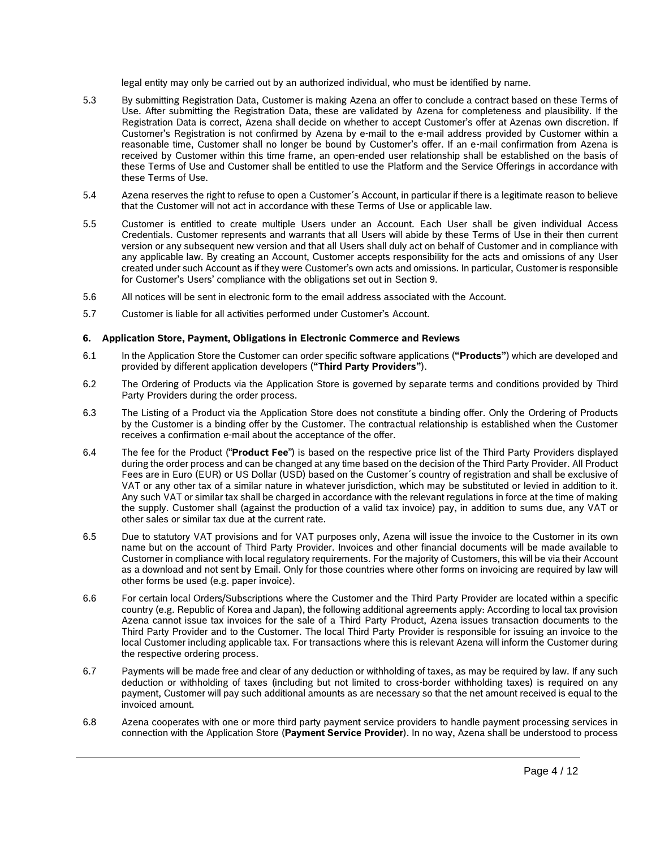legal entity may only be carried out by an authorized individual, who must be identified by name.

- 5.3 By submitting Registration Data, Customer is making Azena an offer to conclude a contract based on these Terms of Use. After submitting the Registration Data, these are validated by Azena for completeness and plausibility. If the Registration Data is correct, Azena shall decide on whether to accept Customer's offer at Azenas own discretion. If Customer's Registration is not confirmed by Azena by e-mail to the e-mail address provided by Customer within a reasonable time, Customer shall no longer be bound by Customer's offer. If an e-mail confirmation from Azena is received by Customer within this time frame, an open-ended user relationship shall be established on the basis of these Terms of Use and Customer shall be entitled to use the Platform and the Service Offerings in accordance with these Terms of Use.
- 5.4 Azena reserves the right to refuse to open a Customer´s Account, in particular if there is a legitimate reason to believe that the Customer will not act in accordance with these Terms of Use or applicable law.
- 5.5 Customer is entitled to create multiple Users under an Account. Each User shall be given individual Access Credentials. Customer represents and warrants that all Users will abide by these Terms of Use in their then current version or any subsequent new version and that all Users shall duly act on behalf of Customer and in compliance with any applicable law. By creating an Account, Customer accepts responsibility for the acts and omissions of any User created under such Account as if they were Customer's own acts and omissions. In particular, Customer is responsible for Customer's Users' compliance with the obligations set out in Section 9.
- 5.6 All notices will be sent in electronic form to the email address associated with the Account.
- 5.7 Customer is liable for all activities performed under Customer's Account.

# **6. Application Store, Payment, Obligations in Electronic Commerce and Reviews**

- 6.1 In the Application Store the Customer can order specific software applications (**"Products"**) which are developed and provided by different application developers (**"Third Party Providers"**).
- 6.2 The Ordering of Products via the Application Store is governed by separate terms and conditions provided by Third Party Providers during the order process.
- 6.3 The Listing of a Product via the Application Store does not constitute a binding offer. Only the Ordering of Products by the Customer is a binding offer by the Customer. The contractual relationship is established when the Customer receives a confirmation e-mail about the acceptance of the offer.
- 6.4 The fee for the Product ("**Product Fee**") is based on the respective price list of the Third Party Providers displayed during the order process and can be changed at any time based on the decision of the Third Party Provider. All Product Fees are in Euro (EUR) or US Dollar (USD) based on the Customer´s country of registration and shall be exclusive of VAT or any other tax of a similar nature in whatever jurisdiction, which may be substituted or levied in addition to it. Any such VAT or similar tax shall be charged in accordance with the relevant regulations in force at the time of making the supply. Customer shall (against the production of a valid tax invoice) pay, in addition to sums due, any VAT or other sales or similar tax due at the current rate.
- 6.5 Due to statutory VAT provisions and for VAT purposes only, Azena will issue the invoice to the Customer in its own name but on the account of Third Party Provider. Invoices and other financial documents will be made available to Customer in compliance with local regulatory requirements. For the majority of Customers, this will be via their Account as a download and not sent by Email. Only for those countries where other forms on invoicing are required by law will other forms be used (e.g. paper invoice).
- 6.6 For certain local Orders/Subscriptions where the Customer and the Third Party Provider are located within a specific country (e.g. Republic of Korea and Japan), the following additional agreements apply: According to local tax provision Azena cannot issue tax invoices for the sale of a Third Party Product, Azena issues transaction documents to the Third Party Provider and to the Customer. The local Third Party Provider is responsible for issuing an invoice to the local Customer including applicable tax. For transactions where this is relevant Azena will inform the Customer during the respective ordering process.
- 6.7 Payments will be made free and clear of any deduction or withholding of taxes, as may be required by law. If any such deduction or withholding of taxes (including but not limited to cross-border withholding taxes) is required on any payment, Customer will pay such additional amounts as are necessary so that the net amount received is equal to the invoiced amount.
- 6.8 Azena cooperates with one or more third party payment service providers to handle payment processing services in connection with the Application Store (**Payment Service Provider**). In no way, Azena shall be understood to process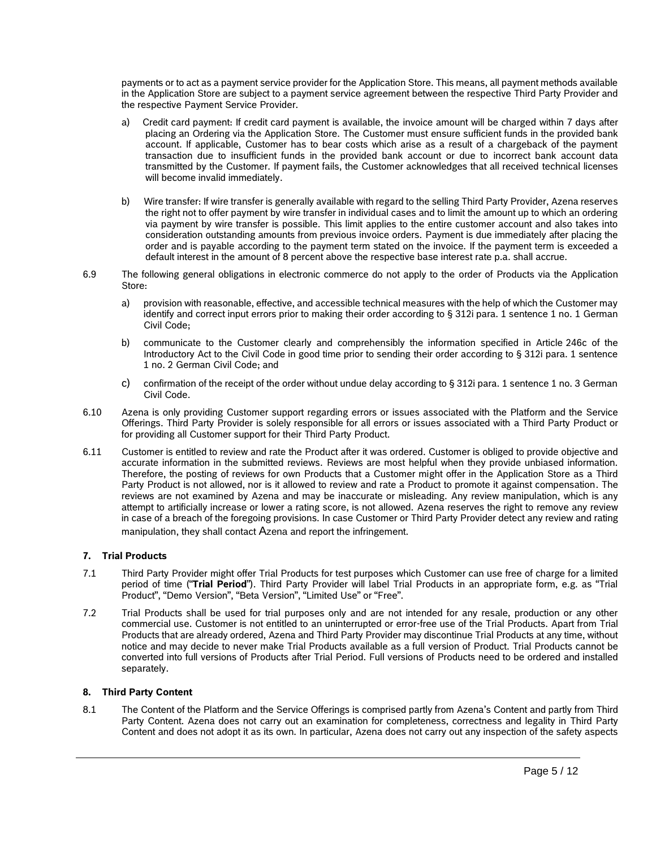payments or to act as a payment service provider for the Application Store. This means, all payment methods available in the Application Store are subject to a payment service agreement between the respective Third Party Provider and the respective Payment Service Provider.

- a) Credit card payment: If credit card payment is available, the invoice amount will be charged within 7 days after placing an Ordering via the Application Store. The Customer must ensure sufficient funds in the provided bank account. If applicable, Customer has to bear costs which arise as a result of a chargeback of the payment transaction due to insufficient funds in the provided bank account or due to incorrect bank account data transmitted by the Customer. If payment fails, the Customer acknowledges that all received technical licenses will become invalid immediately.
- b) Wire transfer: If wire transfer is generally available with regard to the selling Third Party Provider, Azena reserves the right not to offer payment by wire transfer in individual cases and to limit the amount up to which an ordering via payment by wire transfer is possible. This limit applies to the entire customer account and also takes into consideration outstanding amounts from previous invoice orders. Payment is due immediately after placing the order and is payable according to the payment term stated on the invoice. If the payment term is exceeded a default interest in the amount of 8 percent above the respective base interest rate p.a. shall accrue.
- 6.9 The following general obligations in electronic commerce do not apply to the order of Products via the Application Store:
	- a) provision with reasonable, effective, and accessible technical measures with the help of which the Customer may identify and correct input errors prior to making their order according to § 312i para. 1 sentence 1 no. 1 German Civil Code;
	- b) communicate to the Customer clearly and comprehensibly the information specified in Article 246c of the Introductory Act to the Civil Code in good time prior to sending their order according to § 312i para. 1 sentence 1 no. 2 German Civil Code; and
	- c) confirmation of the receipt of the order without undue delay according to § 312i para. 1 sentence 1 no. 3 German Civil Code.
- 6.10 Azena is only providing Customer support regarding errors or issues associated with the Platform and the Service Offerings. Third Party Provider is solely responsible for all errors or issues associated with a Third Party Product or for providing all Customer support for their Third Party Product.
- 6.11 Customer is entitled to review and rate the Product after it was ordered. Customer is obliged to provide objective and accurate information in the submitted reviews. Reviews are most helpful when they provide unbiased information. Therefore, the posting of reviews for own Products that a Customer might offer in the Application Store as a Third Party Product is not allowed, nor is it allowed to review and rate a Product to promote it against compensation. The reviews are not examined by Azena and may be inaccurate or misleading. Any review manipulation, which is any attempt to artificially increase or lower a rating score, is not allowed. Azena reserves the right to remove any review in case of a breach of the foregoing provisions. In case Customer or Third Party Provider detect any review and rating manipulation, they shall contact Azena and report the infringement.

# **7. Trial Products**

- 7.1 Third Party Provider might offer Trial Products for test purposes which Customer can use free of charge for a limited period of time ("**Trial Period**"). Third Party Provider will label Trial Products in an appropriate form, e.g. as "Trial Product", "Demo Version", "Beta Version", "Limited Use" or "Free".
- 7.2 Trial Products shall be used for trial purposes only and are not intended for any resale, production or any other commercial use. Customer is not entitled to an uninterrupted or error-free use of the Trial Products. Apart from Trial Products that are already ordered, Azena and Third Party Provider may discontinue Trial Products at any time, without notice and may decide to never make Trial Products available as a full version of Product. Trial Products cannot be converted into full versions of Products after Trial Period. Full versions of Products need to be ordered and installed separately.

# **8. Third Party Content**

<span id="page-4-0"></span>8.1 The Content of the Platform and the Service Offerings is comprised partly from Azena's Content and partly from Third Party Content. Azena does not carry out an examination for completeness, correctness and legality in Third Party Content and does not adopt it as its own. In particular, Azena does not carry out any inspection of the safety aspects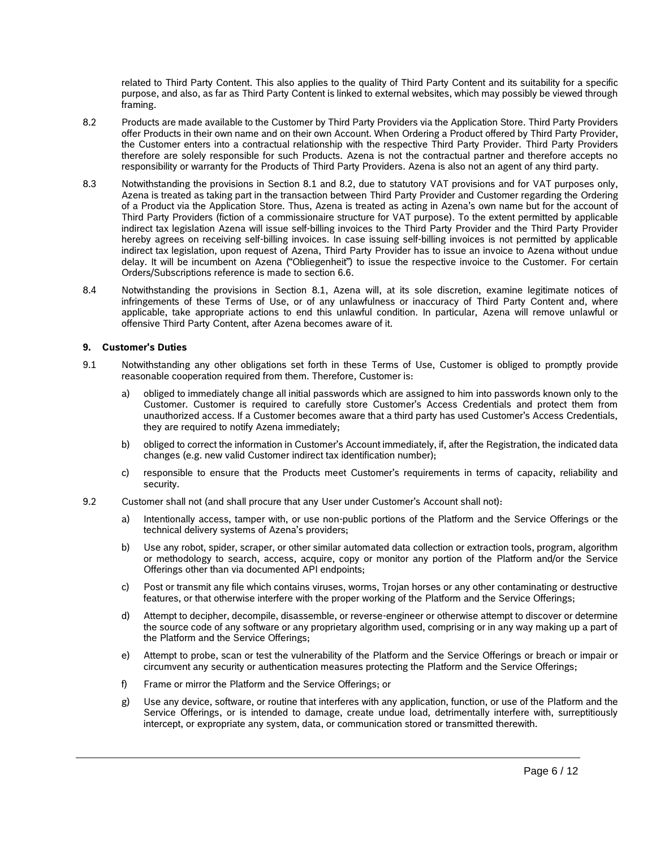related to Third Party Content. This also applies to the quality of Third Party Content and its suitability for a specific purpose, and also, as far as Third Party Content is linked to external websites, which may possibly be viewed through framing.

- <span id="page-5-0"></span>8.2 Products are made available to the Customer by Third Party Providers via the Application Store. Third Party Providers offer Products in their own name and on their own Account. When Ordering a Product offered by Third Party Provider, the Customer enters into a contractual relationship with the respective Third Party Provider. Third Party Providers therefore are solely responsible for such Products. Azena is not the contractual partner and therefore accepts no responsibility or warranty for the Products of Third Party Providers. Azena is also not an agent of any third party.
- 8.3 Notwithstanding the provisions in Section [8.1](#page-4-0) and [8.2,](#page-5-0) due to statutory VAT provisions and for VAT purposes only, Azena is treated as taking part in the transaction between Third Party Provider and Customer regarding the Ordering of a Product via the Application Store. Thus, Azena is treated as acting in Azena's own name but for the account of Third Party Providers (fiction of a commissionaire structure for VAT purpose). To the extent permitted by applicable indirect tax legislation Azena will issue self-billing invoices to the Third Party Provider and the Third Party Provider hereby agrees on receiving self-billing invoices. In case issuing self-billing invoices is not permitted by applicable indirect tax legislation, upon request of Azena, Third Party Provider has to issue an invoice to Azena without undue delay. It will be incumbent on Azena ("Obliegenheit") to issue the respective invoice to the Customer. For certain Orders/Subscriptions reference is made to section 6.6.
- 8.4 Notwithstanding the provisions in Section [8.1,](#page-4-0) Azena will, at its sole discretion, examine legitimate notices of infringements of these Terms of Use, or of any unlawfulness or inaccuracy of Third Party Content and, where applicable, take appropriate actions to end this unlawful condition. In particular, Azena will remove unlawful or offensive Third Party Content, after Azena becomes aware of it.

# **9. Customer's Duties**

- 9.1 Notwithstanding any other obligations set forth in these Terms of Use, Customer is obliged to promptly provide reasonable cooperation required from them. Therefore, Customer is:
	- a) obliged to immediately change all initial passwords which are assigned to him into passwords known only to the Customer. Customer is required to carefully store Customer's Access Credentials and protect them from unauthorized access. If a Customer becomes aware that a third party has used Customer's Access Credentials, they are required to notify Azena immediately;
	- b) obliged to correct the information in Customer's Account immediately, if, after the Registration, the indicated data changes (e.g. new valid Customer indirect tax identification number);
	- c) responsible to ensure that the Products meet Customer's requirements in terms of capacity, reliability and security.
- 9.2 Customer shall not (and shall procure that any User under Customer's Account shall not):
	- a) Intentionally access, tamper with, or use non-public portions of the Platform and the Service Offerings or the technical delivery systems of Azena's providers;
	- b) Use any robot, spider, scraper, or other similar automated data collection or extraction tools, program, algorithm or methodology to search, access, acquire, copy or monitor any portion of the Platform and/or the Service Offerings other than via documented API endpoints;
	- c) Post or transmit any file which contains viruses, worms, Trojan horses or any other contaminating or destructive features, or that otherwise interfere with the proper working of the Platform and the Service Offerings;
	- d) Attempt to decipher, decompile, disassemble, or reverse-engineer or otherwise attempt to discover or determine the source code of any software or any proprietary algorithm used, comprising or in any way making up a part of the Platform and the Service Offerings;
	- e) Attempt to probe, scan or test the vulnerability of the Platform and the Service Offerings or breach or impair or circumvent any security or authentication measures protecting the Platform and the Service Offerings;
	- f) Frame or mirror the Platform and the Service Offerings; or
	- g) Use any device, software, or routine that interferes with any application, function, or use of the Platform and the Service Offerings, or is intended to damage, create undue load, detrimentally interfere with, surreptitiously intercept, or expropriate any system, data, or communication stored or transmitted therewith.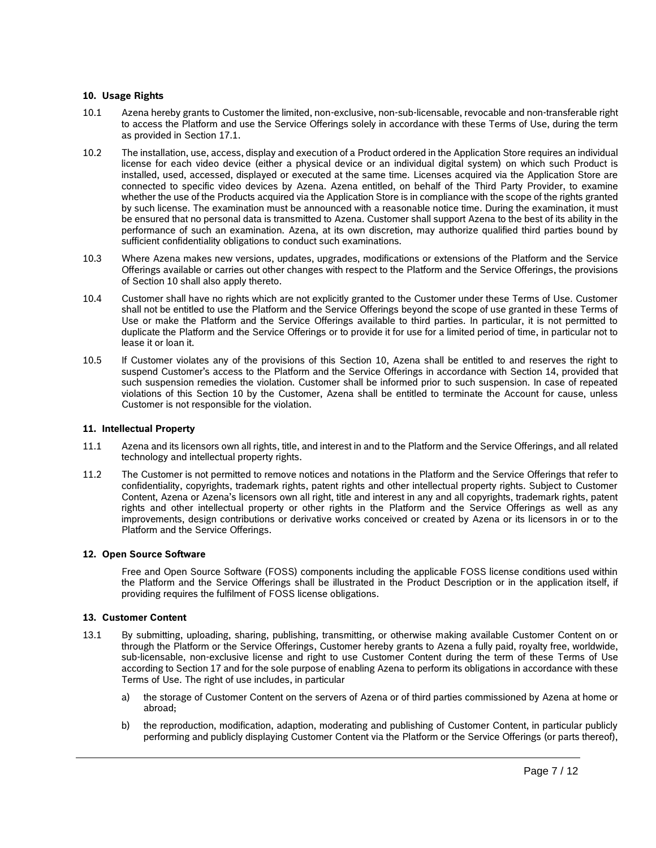# **10. Usage Rights**

- 10.1 Azena hereby grants to Customer the limited, non-exclusive, non-sub-licensable, revocable and non-transferable right to access the Platform and use the Service Offerings solely in accordance with these Terms of Use, during the term as provided in Section 17.1.
- 10.2 The installation, use, access, display and execution of a Product ordered in the Application Store requires an individual license for each video device (either a physical device or an individual digital system) on which such Product is installed, used, accessed, displayed or executed at the same time. Licenses acquired via the Application Store are connected to specific video devices by Azena. Azena entitled, on behalf of the Third Party Provider, to examine whether the use of the Products acquired via the Application Store is in compliance with the scope of the rights granted by such license. The examination must be announced with a reasonable notice time. During the examination, it must be ensured that no personal data is transmitted to Azena. Customer shall support Azena to the best of its ability in the performance of such an examination. Azena, at its own discretion, may authorize qualified third parties bound by sufficient confidentiality obligations to conduct such examinations.
- 10.3 Where Azena makes new versions, updates, upgrades, modifications or extensions of the Platform and the Service Offerings available or carries out other changes with respect to the Platform and the Service Offerings, the provisions of Section 10 shall also apply thereto.
- 10.4 Customer shall have no rights which are not explicitly granted to the Customer under these Terms of Use. Customer shall not be entitled to use the Platform and the Service Offerings beyond the scope of use granted in these Terms of Use or make the Platform and the Service Offerings available to third parties. In particular, it is not permitted to duplicate the Platform and the Service Offerings or to provide it for use for a limited period of time, in particular not to lease it or loan it.
- 10.5 If Customer violates any of the provisions of this Section 10, Azena shall be entitled to and reserves the right to suspend Customer's access to the Platform and the Service Offerings in accordance with Section 14, provided that such suspension remedies the violation. Customer shall be informed prior to such suspension. In case of repeated violations of this Section 10 by the Customer, Azena shall be entitled to terminate the Account for cause, unless Customer is not responsible for the violation.

# **11. Intellectual Property**

- 11.1 Azena and its licensors own all rights, title, and interest in and to the Platform and the Service Offerings, and all related technology and intellectual property rights.
- 11.2 The Customer is not permitted to remove notices and notations in the Platform and the Service Offerings that refer to confidentiality, copyrights, trademark rights, patent rights and other intellectual property rights. Subject to Customer Content, Azena or Azena's licensors own all right, title and interest in any and all copyrights, trademark rights, patent rights and other intellectual property or other rights in the Platform and the Service Offerings as well as any improvements, design contributions or derivative works conceived or created by Azena or its licensors in or to the Platform and the Service Offerings.

# **12. Open Source Software**

Free and Open Source Software (FOSS) components including the applicable FOSS license conditions used within the Platform and the Service Offerings shall be illustrated in the Product Description or in the application itself, if providing requires the fulfilment of FOSS license obligations.

# **13. Customer Content**

- 13.1 By submitting, uploading, sharing, publishing, transmitting, or otherwise making available Customer Content on or through the Platform or the Service Offerings, Customer hereby grants to Azena a fully paid, royalty free, worldwide, sub-licensable, non-exclusive license and right to use Customer Content during the term of these Terms of Use according to Section 17 and for the sole purpose of enabling Azena to perform its obligations in accordance with these Terms of Use. The right of use includes, in particular
	- a) the storage of Customer Content on the servers of Azena or of third parties commissioned by Azena at home or abroad;
	- b) the reproduction, modification, adaption, moderating and publishing of Customer Content, in particular publicly performing and publicly displaying Customer Content via the Platform or the Service Offerings (or parts thereof),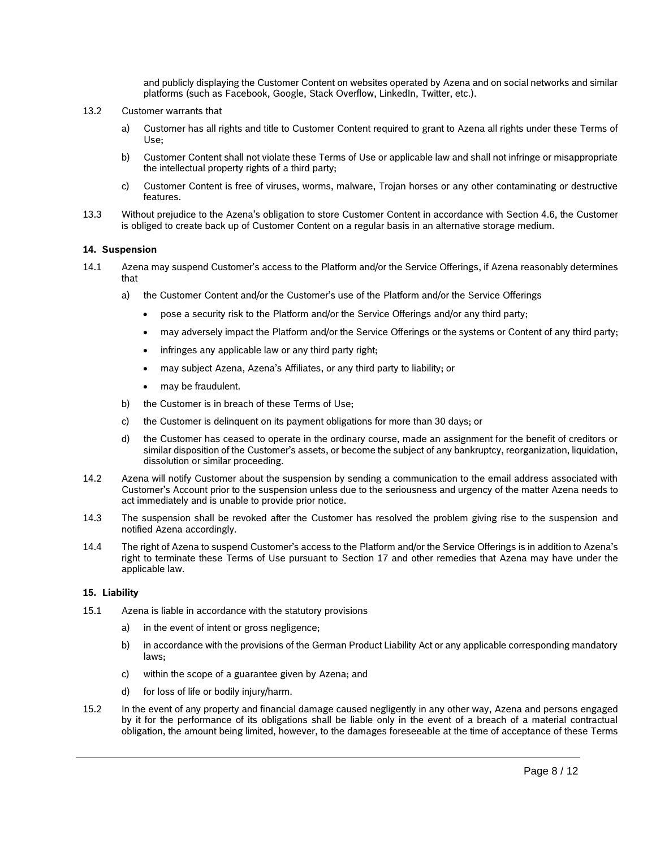and publicly displaying the Customer Content on websites operated by Azena and on social networks and similar platforms (such as Facebook, Google, Stack Overflow, LinkedIn, Twitter, etc.).

- 13.2 Customer warrants that
	- a) Customer has all rights and title to Customer Content required to grant to Azena all rights under these Terms of Use;
	- b) Customer Content shall not violate these Terms of Use or applicable law and shall not infringe or misappropriate the intellectual property rights of a third party;
	- c) Customer Content is free of viruses, worms, malware, Trojan horses or any other contaminating or destructive features.
- <span id="page-7-1"></span>13.3 Without prejudice to the Azena's obligation to store Customer Content in accordance with Section [4.6,](#page-2-0) the Customer is obliged to create back up of Customer Content on a regular basis in an alternative storage medium.

#### **14. Suspension**

- 14.1 Azena may suspend Customer's access to the Platform and/or the Service Offerings, if Azena reasonably determines that
	- a) the Customer Content and/or the Customer's use of the Platform and/or the Service Offerings
		- pose a security risk to the Platform and/or the Service Offerings and/or any third party;
		- may adversely impact the Platform and/or the Service Offerings or the systems or Content of any third party;
		- infringes any applicable law or any third party right;
		- may subject Azena, Azena's Affiliates, or any third party to liability; or
		- may be fraudulent.
	- b) the Customer is in breach of these Terms of Use;
	- c) the Customer is delinquent on its payment obligations for more than 30 days; or
	- d) the Customer has ceased to operate in the ordinary course, made an assignment for the benefit of creditors or similar disposition of the Customer's assets, or become the subject of any bankruptcy, reorganization, liquidation, dissolution or similar proceeding.
- 14.2 Azena will notify Customer about the suspension by sending a communication to the email address associated with Customer's Account prior to the suspension unless due to the seriousness and urgency of the matter Azena needs to act immediately and is unable to provide prior notice.
- 14.3 The suspension shall be revoked after the Customer has resolved the problem giving rise to the suspension and notified Azena accordingly.
- 14.4 The right of Azena to suspend Customer's access to the Platform and/or the Service Offerings is in addition to Azena's right to terminate these Terms of Use pursuant to Section 17 and other remedies that Azena may have under the applicable law.

#### **15. Liability**

- <span id="page-7-0"></span>15.1 Azena is liable in accordance with the statutory provisions
	- a) in the event of intent or gross negligence;
	- b) in accordance with the provisions of the German Product Liability Act or any applicable corresponding mandatory laws;
	- c) within the scope of a guarantee given by Azena; and
	- d) for loss of life or bodily injury/harm.
- 15.2 In the event of any property and financial damage caused negligently in any other way, Azena and persons engaged by it for the performance of its obligations shall be liable only in the event of a breach of a material contractual obligation, the amount being limited, however, to the damages foreseeable at the time of acceptance of these Terms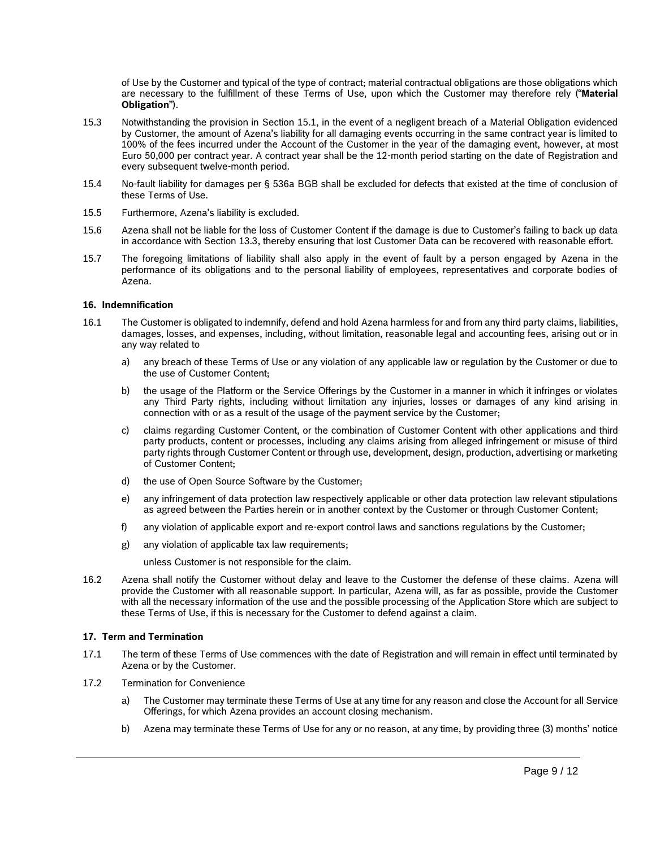of Use by the Customer and typical of the type of contract; material contractual obligations are those obligations which are necessary to the fulfillment of these Terms of Use, upon which the Customer may therefore rely ("**Material Obligation**").

- 15.3 Notwithstanding the provision in Section [15.1,](#page-7-0) in the event of a negligent breach of a Material Obligation evidenced by Customer, the amount of Azena's liability for all damaging events occurring in the same contract year is limited to 100% of the fees incurred under the Account of the Customer in the year of the damaging event, however, at most Euro 50,000 per contract year. A contract year shall be the 12-month period starting on the date of Registration and every subsequent twelve-month period.
- 15.4 No-fault liability for damages per § 536a BGB shall be excluded for defects that existed at the time of conclusion of these Terms of Use.
- 15.5 Furthermore, Azena's liability is excluded.
- 15.6 Azena shall not be liable for the loss of Customer Content if the damage is due to Customer's failing to back up data in accordance with Section [13.3,](#page-7-1) thereby ensuring that lost Customer Data can be recovered with reasonable effort.
- 15.7 The foregoing limitations of liability shall also apply in the event of fault by a person engaged by Azena in the performance of its obligations and to the personal liability of employees, representatives and corporate bodies of Azena.

#### **16. Indemnification**

- 16.1 The Customer is obligated to indemnify, defend and hold Azena harmless for and from any third party claims, liabilities, damages, losses, and expenses, including, without limitation, reasonable legal and accounting fees, arising out or in any way related to
	- a) any breach of these Terms of Use or any violation of any applicable law or regulation by the Customer or due to the use of Customer Content;
	- b) the usage of the Platform or the Service Offerings by the Customer in a manner in which it infringes or violates any Third Party rights, including without limitation any injuries, losses or damages of any kind arising in connection with or as a result of the usage of the payment service by the Customer;
	- c) claims regarding Customer Content, or the combination of Customer Content with other applications and third party products, content or processes, including any claims arising from alleged infringement or misuse of third party rights through Customer Content or through use, development, design, production, advertising or marketing of Customer Content;
	- d) the use of Open Source Software by the Customer;
	- e) any infringement of data protection law respectively applicable or other data protection law relevant stipulations as agreed between the Parties herein or in another context by the Customer or through Customer Content;
	- f) any violation of applicable export and re-export control laws and sanctions regulations by the Customer;
	- g) any violation of applicable tax law requirements;
		- unless Customer is not responsible for the claim.
- 16.2 Azena shall notify the Customer without delay and leave to the Customer the defense of these claims. Azena will provide the Customer with all reasonable support. In particular, Azena will, as far as possible, provide the Customer with all the necessary information of the use and the possible processing of the Application Store which are subject to these Terms of Use, if this is necessary for the Customer to defend against a claim.

# **17. Term and Termination**

- 17.1 The term of these Terms of Use commences with the date of Registration and will remain in effect until terminated by Azena or by the Customer.
- 17.2 Termination for Convenience
	- a) The Customer may terminate these Terms of Use at any time for any reason and close the Account for all Service Offerings, for which Azena provides an account closing mechanism.
	- b) Azena may terminate these Terms of Use for any or no reason, at any time, by providing three (3) months' notice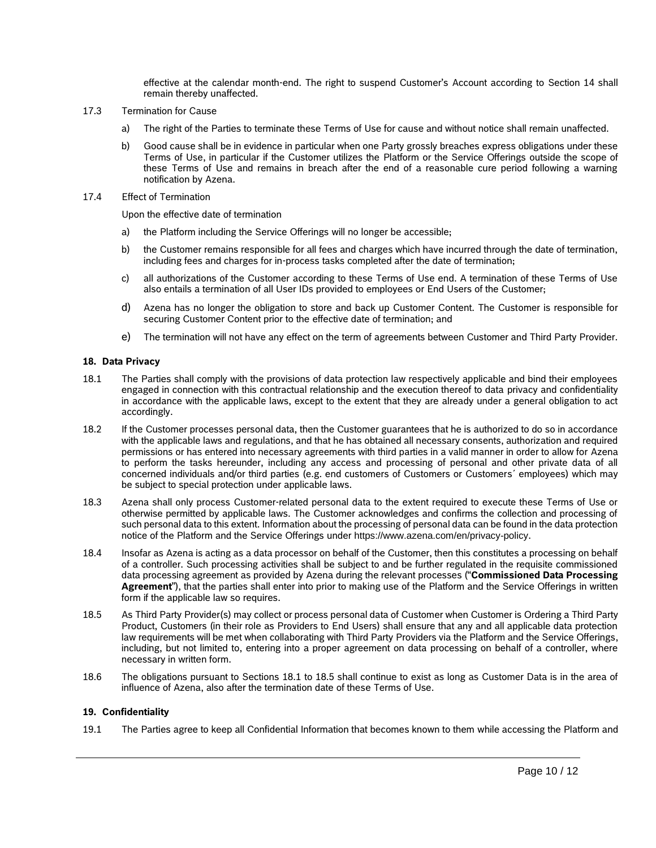effective at the calendar month-end. The right to suspend Customer's Account according to Section 14 shall remain thereby unaffected.

- 17.3 Termination for Cause
	- a) The right of the Parties to terminate these Terms of Use for cause and without notice shall remain unaffected.
	- b) Good cause shall be in evidence in particular when one Party grossly breaches express obligations under these Terms of Use, in particular if the Customer utilizes the Platform or the Service Offerings outside the scope of these Terms of Use and remains in breach after the end of a reasonable cure period following a warning notification by Azena.
- 17.4 Effect of Termination

Upon the effective date of termination

- a) the Platform including the Service Offerings will no longer be accessible;
- b) the Customer remains responsible for all fees and charges which have incurred through the date of termination, including fees and charges for in-process tasks completed after the date of termination;
- c) all authorizations of the Customer according to these Terms of Use end. A termination of these Terms of Use also entails a termination of all User IDs provided to employees or End Users of the Customer;
- d) Azena has no longer the obligation to store and back up Customer Content. The Customer is responsible for securing Customer Content prior to the effective date of termination; and
- e) The termination will not have any effect on the term of agreements between Customer and Third Party Provider.

# **18. Data Privacy**

- <span id="page-9-0"></span>18.1 The Parties shall comply with the provisions of data protection law respectively applicable and bind their employees engaged in connection with this contractual relationship and the execution thereof to data privacy and confidentiality in accordance with the applicable laws, except to the extent that they are already under a general obligation to act accordingly.
- 18.2 If the Customer processes personal data, then the Customer guarantees that he is authorized to do so in accordance with the applicable laws and regulations, and that he has obtained all necessary consents, authorization and required permissions or has entered into necessary agreements with third parties in a valid manner in order to allow for Azena to perform the tasks hereunder, including any access and processing of personal and other private data of all concerned individuals and/or third parties (e.g. end customers of Customers or Customers´ employees) which may be subject to special protection under applicable laws.
- 18.3 Azena shall only process Customer-related personal data to the extent required to execute these Terms of Use or otherwise permitted by applicable laws. The Customer acknowledges and confirms the collection and processing of such personal data to this extent. Information about the processing of personal data can be found in the data protection notice of the Platform and the Service Offerings under https://www.azena.com/en/privacy-policy.
- 18.4 Insofar as Azena is acting as a data processor on behalf of the Customer, then this constitutes a processing on behalf of a controller. Such processing activities shall be subject to and be further regulated in the requisite commissioned data processing agreement as provided by Azena during the relevant processes ("**Commissioned Data Processing Agreement**"), that the parties shall enter into prior to making use of the Platform and the Service Offerings in written form if the applicable law so requires.
- <span id="page-9-1"></span>18.5 As Third Party Provider(s) may collect or process personal data of Customer when Customer is Ordering a Third Party Product, Customers (in their role as Providers to End Users) shall ensure that any and all applicable data protection law requirements will be met when collaborating with Third Party Providers via the Platform and the Service Offerings, including, but not limited to, entering into a proper agreement on data processing on behalf of a controller, where necessary in written form.
- 18.6 The obligations pursuant to Sections [18.1](#page-9-0) to [18.5](#page-9-1) shall continue to exist as long as Customer Data is in the area of influence of Azena, also after the termination date of these Terms of Use.

# **19. Confidentiality**

<span id="page-9-2"></span>19.1 The Parties agree to keep all Confidential Information that becomes known to them while accessing the Platform and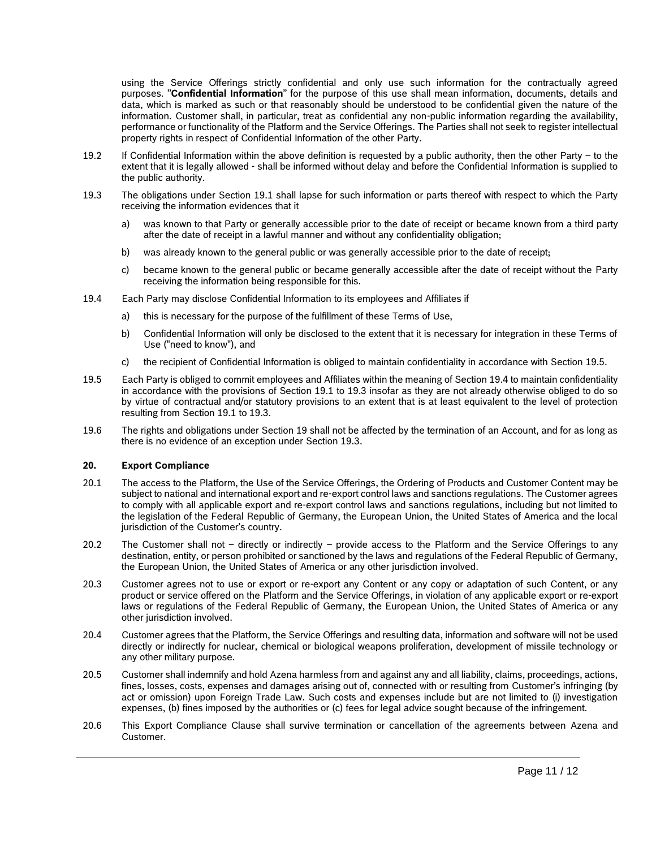using the Service Offerings strictly confidential and only use such information for the contractually agreed purposes. "**Confidential Information**" for the purpose of this use shall mean information, documents, details and data, which is marked as such or that reasonably should be understood to be confidential given the nature of the information. Customer shall, in particular, treat as confidential any non-public information regarding the availability, performance or functionality of the Platform and the Service Offerings. The Parties shall not seek to register intellectual property rights in respect of Confidential Information of the other Party.

- 19.2 If Confidential Information within the above definition is requested by a public authority, then the other Party to the extent that it is legally allowed - shall be informed without delay and before the Confidential Information is supplied to the public authority.
- <span id="page-10-2"></span>19.3 The obligations under Section [19.1](#page-9-2) shall lapse for such information or parts thereof with respect to which the Party receiving the information evidences that it
	- a) was known to that Party or generally accessible prior to the date of receipt or became known from a third party after the date of receipt in a lawful manner and without any confidentiality obligation;
	- b) was already known to the general public or was generally accessible prior to the date of receipt;
	- c) became known to the general public or became generally accessible after the date of receipt without the Party receiving the information being responsible for this.
- <span id="page-10-1"></span>19.4 Each Party may disclose Confidential Information to its employees and Affiliates if
	- a) this is necessary for the purpose of the fulfillment of these Terms of Use,
	- b) Confidential Information will only be disclosed to the extent that it is necessary for integration in these Terms of Use ("need to know"), and
	- c) the recipient of Confidential Information is obliged to maintain confidentiality in accordance with Section [19.5.](#page-10-0)
- <span id="page-10-0"></span>19.5 Each Party is obliged to commit employees and Affiliates within the meaning of Section [19.4](#page-10-1) to maintain confidentiality in accordance with the provisions of Section [19.1](#page-9-2) to [19.3](#page-10-2) insofar as they are not already otherwise obliged to do so by virtue of contractual and/or statutory provisions to an extent that is at least equivalent to the level of protection resulting from Section [19.1](#page-9-2) to [19.3.](#page-10-2)
- 19.6 The rights and obligations under Section 19 shall not be affected by the termination of an Account, and for as long as there is no evidence of an exception under Section 19.3.

# **20. Export Compliance**

- 20.1 The access to the Platform, the Use of the Service Offerings, the Ordering of Products and Customer Content may be subject to national and international export and re-export control laws and sanctions regulations. The Customer agrees to comply with all applicable export and re-export control laws and sanctions regulations, including but not limited to the legislation of the Federal Republic of Germany, the European Union, the United States of America and the local jurisdiction of the Customer's country.
- 20.2 The Customer shall not directly or indirectly provide access to the Platform and the Service Offerings to any destination, entity, or person prohibited or sanctioned by the laws and regulations of the Federal Republic of Germany, the European Union, the United States of America or any other jurisdiction involved.
- 20.3 Customer agrees not to use or export or re-export any Content or any copy or adaptation of such Content, or any product or service offered on the Platform and the Service Offerings, in violation of any applicable export or re-export laws or regulations of the Federal Republic of Germany, the European Union, the United States of America or any other jurisdiction involved.
- 20.4 Customer agrees that the Platform, the Service Offerings and resulting data, information and software will not be used directly or indirectly for nuclear, chemical or biological weapons proliferation, development of missile technology or any other military purpose.
- 20.5 Customer shall indemnify and hold Azena harmless from and against any and all liability, claims, proceedings, actions, fines, losses, costs, expenses and damages arising out of, connected with or resulting from Customer's infringing (by act or omission) upon Foreign Trade Law. Such costs and expenses include but are not limited to (i) investigation expenses, (b) fines imposed by the authorities or (c) fees for legal advice sought because of the infringement.
- 20.6 This Export Compliance Clause shall survive termination or cancellation of the agreements between Azena and Customer.